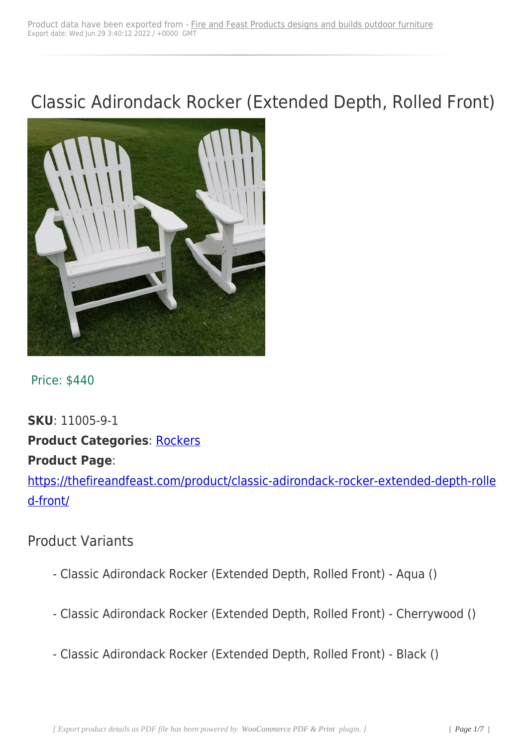# Classic Adirondack Rocker (Extended Depth, Rolled Front)



#### Price: \$440

## **SKU**: 11005-9-1 **Product Categories: Rockers Product Page**:

https://thefireandfeast[.com/pro](https://thefireandfeast.com/product-category/casual-seating/rockers/)duct/classic-adirondack-rocker-extended-depth-rolle d-front/

## [Produc](https://thefireandfeast.com/product/classic-adirondack-rocker-extended-depth-rolled-front/)t Variants

- Classic Adirondack Rocker (Extended Depth, Rolled Front) Aqua ()
- Classic Adirondack Rocker (Extended Depth, Rolled Front) Cherrywood ()
- Classic Adirondack Rocker (Extended Depth, Rolled Front) Black ()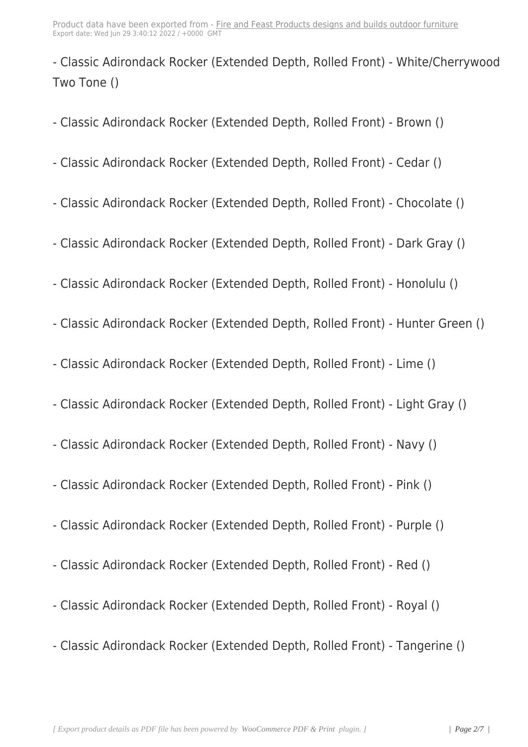- Classic Adirondack Rocker ([Extended Depth, Rolled Front\) - White/Cher](https://firefeast.webfrenetics.com/?post_type=product&p=45603)rywood Two Tone ()

- Classic Adirondack Rocker (Extended Depth, Rolled Front) - Brown ()

- Classic Adirondack Rocker (Extended Depth, Rolled Front) Cedar ()
- Classic Adirondack Rocker (Extended Depth, Rolled Front) Chocolate ()
- Classic Adirondack Rocker (Extended Depth, Rolled Front) Dark Gray ()
- Classic Adirondack Rocker (Extended Depth, Rolled Front) Honolulu ()
- Classic Adirondack Rocker (Extended Depth, Rolled Front) Hunter Green ()
- Classic Adirondack Rocker (Extended Depth, Rolled Front) Lime ()
- Classic Adirondack Rocker (Extended Depth, Rolled Front) Light Gray ()
- Classic Adirondack Rocker (Extended Depth, Rolled Front) Navy ()
- Classic Adirondack Rocker (Extended Depth, Rolled Front) Pink ()
- Classic Adirondack Rocker (Extended Depth, Rolled Front) Purple ()
- Classic Adirondack Rocker (Extended Depth, Rolled Front) Red ()
- Classic Adirondack Rocker (Extended Depth, Rolled Front) Royal ()
- Classic Adirondack Rocker (Extended Depth, Rolled Front) Tangerine ()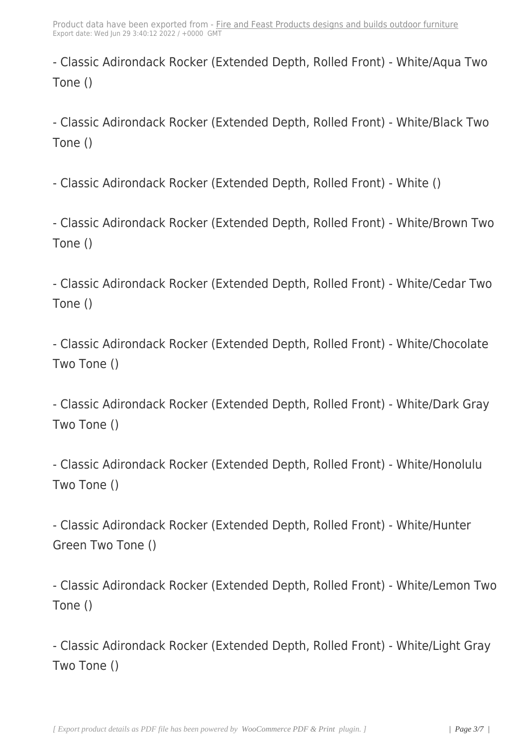- Classic Adirondack Rocker ([Extended Depth, Rolled Front\) - White/Aqua](https://firefeast.webfrenetics.com/?post_type=product&p=45603) Two Tone ()

- Classic Adirondack Rocker (Extended Depth, Rolled Front) - White/Black Two Tone ()

- Classic Adirondack Rocker (Extended Depth, Rolled Front) - White ()

- Classic Adirondack Rocker (Extended Depth, Rolled Front) - White/Brown Two Tone ()

- Classic Adirondack Rocker (Extended Depth, Rolled Front) - White/Cedar Two Tone ()

- Classic Adirondack Rocker (Extended Depth, Rolled Front) - White/Chocolate Two Tone ()

- Classic Adirondack Rocker (Extended Depth, Rolled Front) - White/Dark Gray Two Tone ()

- Classic Adirondack Rocker (Extended Depth, Rolled Front) - White/Honolulu Two Tone ()

- Classic Adirondack Rocker (Extended Depth, Rolled Front) - White/Hunter Green Two Tone ()

- Classic Adirondack Rocker (Extended Depth, Rolled Front) - White/Lemon Two Tone ()

- Classic Adirondack Rocker (Extended Depth, Rolled Front) - White/Light Gray Two Tone ()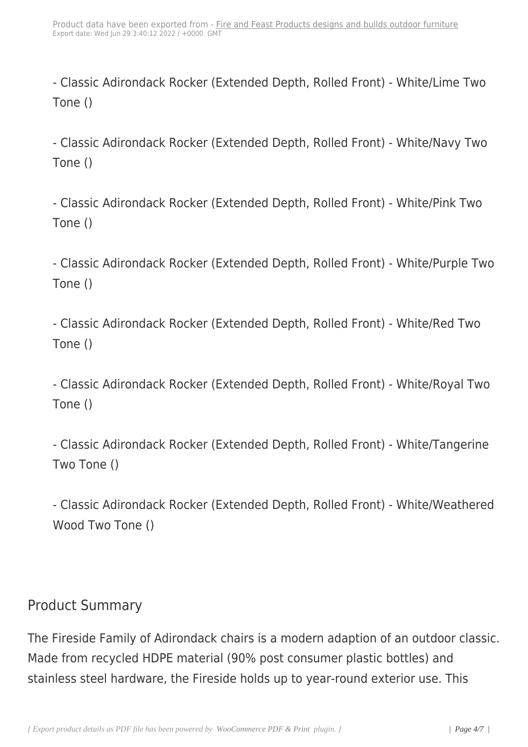- Classic Adirondack Rocker (Extended Depth, Rolled Front) - White/Lime Two Tone ()

- Classic Adirondack Rocker (Extended Depth, Rolled Front) - White/Navy Two Tone ()

- Classic Adirondack Rocker (Extended Depth, Rolled Front) - White/Pink Two Tone ()

- Classic Adirondack Rocker (Extended Depth, Rolled Front) - White/Purple Two Tone ()

- Classic Adirondack Rocker (Extended Depth, Rolled Front) - White/Red Two Tone ()

- Classic Adirondack Rocker (Extended Depth, Rolled Front) - White/Royal Two Tone ()

- Classic Adirondack Rocker (Extended Depth, Rolled Front) - White/Tangerine Two Tone ()

- Classic Adirondack Rocker (Extended Depth, Rolled Front) - White/Weathered Wood Two Tone ()

### Product Summary

The Fireside Family of Adirondack chairs is a modern adaption of an outdoor classic. Made from recycled HDPE material (90% post consumer plastic bottles) and stainless steel hardware, the Fireside holds up to year-round exterior use. This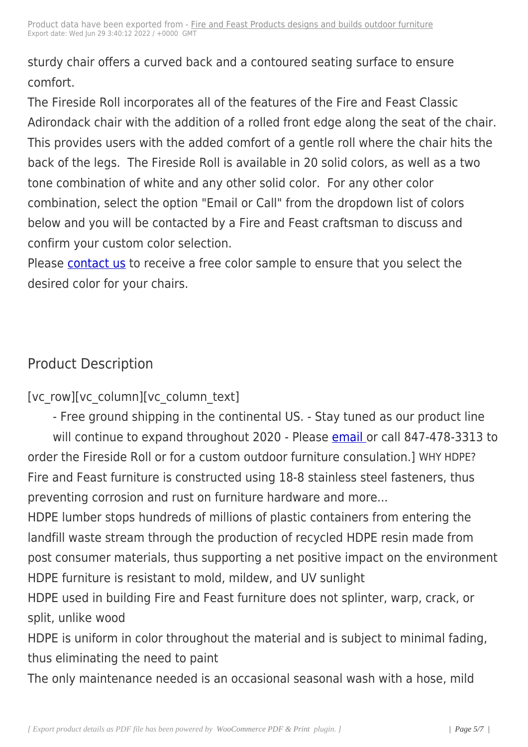sturdy chair offers a curved [back and a contoured seating surface to ens](https://firefeast.webfrenetics.com/?post_type=product&p=45603)ure comfort.

The Fireside Roll incorporates all of the features of the Fire and Feast Classic Adirondack chair with the addition of a rolled front edge along the seat of the chair. This provides users with the added comfort of a gentle roll where the chair hits the back of the legs. The Fireside Roll is available in 20 solid colors, as well as a two tone combination of white and any other solid color. For any other color combination, select the option "Email or Call" from the dropdown list of colors below and you will be contacted by a Fire and Feast craftsman to discuss and confirm your custom color selection.

Please contact us to receive a free color sample to ensure that you select the desired color for your chairs.

## Product Description

[vc\_row][vc\_column][vc\_column\_text]

- Free ground shipping in the continental US. - Stay tuned as our product line will continue to expand throughout 2020 - Please email or call 847-478-3313 to order the Fireside Roll or for a custom outdoor furniture consulation.] WHY HDPE? Fire and Feast furniture is constructed using 18-8 stai[nless st](http://thefireandfeast.com/#/ContactUs)eel fasteners, thus preventing corrosion and rust on furniture hardware and more...

HDPE lumber stops hundreds of millions of plastic containers from entering the landfill waste stream through the production of recycled HDPE resin made from post consumer materials, thus supporting a net positive impact on the environment HDPE furniture is resistant to mold, mildew, and UV sunlight

HDPE used in building Fire and Feast furniture does not splinter, warp, crack, or split, unlike wood

HDPE is uniform in color throughout the material and is subject to minimal fading, thus eliminating the need to paint

The only maintenance needed is an occasional seasonal wash with a hose, mild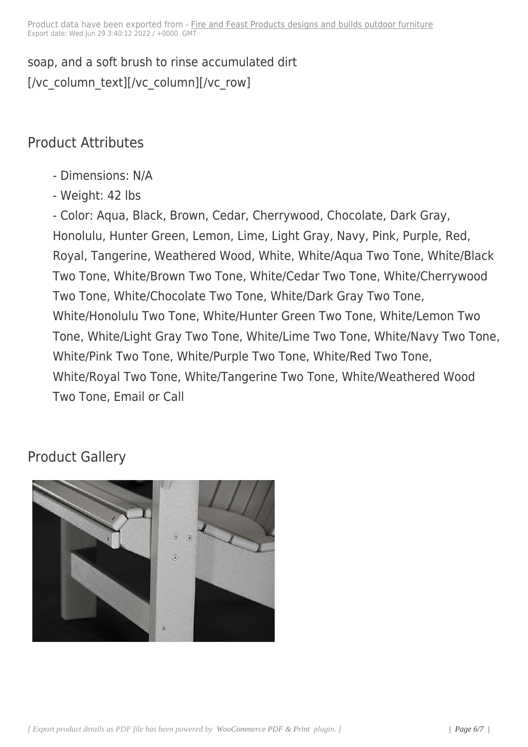## Product Attributes

- Dimensions: N/A
- Weight: 42 lbs

- Color: Aqua, Black, Brown, Cedar, Cherrywood, Chocolate, Dark Gray, Honolulu, Hunter Green, Lemon, Lime, Light Gray, Navy, Pink, Purple, Red, Royal, Tangerine, Weathered Wood, White, White/Aqua Two Tone, White/Black Two Tone, White/Brown Two Tone, White/Cedar Two Tone, White/Cherrywood Two Tone, White/Chocolate Two Tone, White/Dark Gray Two Tone, White/Honolulu Two Tone, White/Hunter Green Two Tone, White/Lemon Two Tone, White/Light Gray Two Tone, White/Lime Two Tone, White/Navy Two Tone, White/Pink Two Tone, White/Purple Two Tone, White/Red Two Tone, White/Royal Two Tone, White/Tangerine Two Tone, White/Weathered Wood Two Tone, Email or Call

## Product Gallery